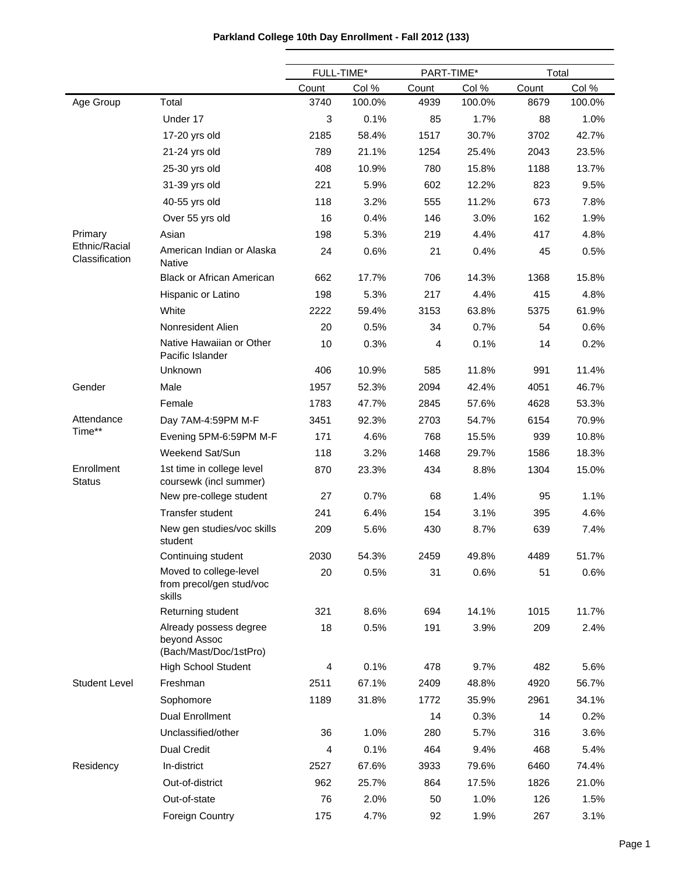|                                 |                                                                  | FULL-TIME* |        | PART-TIME* |        | Total |        |
|---------------------------------|------------------------------------------------------------------|------------|--------|------------|--------|-------|--------|
|                                 |                                                                  | Count      | Col %  | Count      | Col %  | Count | Col %  |
| Age Group                       | Total                                                            | 3740       | 100.0% | 4939       | 100.0% | 8679  | 100.0% |
|                                 | Under 17                                                         | 3          | 0.1%   | 85         | 1.7%   | 88    | 1.0%   |
|                                 | 17-20 yrs old                                                    | 2185       | 58.4%  | 1517       | 30.7%  | 3702  | 42.7%  |
|                                 | 21-24 yrs old                                                    | 789        | 21.1%  | 1254       | 25.4%  | 2043  | 23.5%  |
|                                 | 25-30 yrs old                                                    | 408        | 10.9%  | 780        | 15.8%  | 1188  | 13.7%  |
|                                 | 31-39 yrs old                                                    | 221        | 5.9%   | 602        | 12.2%  | 823   | 9.5%   |
|                                 | 40-55 yrs old                                                    | 118        | 3.2%   | 555        | 11.2%  | 673   | 7.8%   |
|                                 | Over 55 yrs old                                                  | 16         | 0.4%   | 146        | 3.0%   | 162   | 1.9%   |
| Primary                         | Asian                                                            | 198        | 5.3%   | 219        | 4.4%   | 417   | 4.8%   |
| Ethnic/Racial<br>Classification | American Indian or Alaska<br><b>Native</b>                       | 24         | 0.6%   | 21         | 0.4%   | 45    | 0.5%   |
|                                 | <b>Black or African American</b>                                 | 662        | 17.7%  | 706        | 14.3%  | 1368  | 15.8%  |
|                                 | Hispanic or Latino                                               | 198        | 5.3%   | 217        | 4.4%   | 415   | 4.8%   |
|                                 | White                                                            | 2222       | 59.4%  | 3153       | 63.8%  | 5375  | 61.9%  |
|                                 | Nonresident Alien                                                | 20         | 0.5%   | 34         | 0.7%   | 54    | 0.6%   |
|                                 | Native Hawaiian or Other<br>Pacific Islander                     | 10         | 0.3%   | 4          | 0.1%   | 14    | 0.2%   |
|                                 | Unknown                                                          | 406        | 10.9%  | 585        | 11.8%  | 991   | 11.4%  |
| Gender                          | Male                                                             | 1957       | 52.3%  | 2094       | 42.4%  | 4051  | 46.7%  |
|                                 | Female                                                           | 1783       | 47.7%  | 2845       | 57.6%  | 4628  | 53.3%  |
| Attendance                      | Day 7AM-4:59PM M-F                                               | 3451       | 92.3%  | 2703       | 54.7%  | 6154  | 70.9%  |
| Time**                          | Evening 5PM-6:59PM M-F                                           | 171        | 4.6%   | 768        | 15.5%  | 939   | 10.8%  |
|                                 | Weekend Sat/Sun                                                  | 118        | 3.2%   | 1468       | 29.7%  | 1586  | 18.3%  |
| Enrollment<br><b>Status</b>     | 1st time in college level<br>coursewk (incl summer)              | 870        | 23.3%  | 434        | 8.8%   | 1304  | 15.0%  |
|                                 | New pre-college student                                          | 27         | 0.7%   | 68         | 1.4%   | 95    | 1.1%   |
|                                 | Transfer student                                                 | 241        | 6.4%   | 154        | 3.1%   | 395   | 4.6%   |
|                                 | New gen studies/voc skills<br>student                            | 209        | 5.6%   | 430        | 8.7%   | 639   | 7.4%   |
|                                 | Continuing student                                               | 2030       | 54.3%  | 2459       | 49.8%  | 4489  | 51.7%  |
|                                 | Moved to college-level<br>from precol/gen stud/voc<br>skills     | 20         | 0.5%   | 31         | 0.6%   | 51    | 0.6%   |
|                                 | Returning student                                                | 321        | 8.6%   | 694        | 14.1%  | 1015  | 11.7%  |
|                                 | Already possess degree<br>beyond Assoc<br>(Bach/Mast/Doc/1stPro) | 18         | 0.5%   | 191        | 3.9%   | 209   | 2.4%   |
|                                 | <b>High School Student</b>                                       | 4          | 0.1%   | 478        | 9.7%   | 482   | 5.6%   |
| <b>Student Level</b>            | Freshman                                                         | 2511       | 67.1%  | 2409       | 48.8%  | 4920  | 56.7%  |
|                                 | Sophomore                                                        | 1189       | 31.8%  | 1772       | 35.9%  | 2961  | 34.1%  |
|                                 | <b>Dual Enrollment</b>                                           |            |        | 14         | 0.3%   | 14    | 0.2%   |
|                                 | Unclassified/other                                               | 36         | 1.0%   | 280        | 5.7%   | 316   | 3.6%   |
|                                 | Dual Credit                                                      | 4          | 0.1%   | 464        | 9.4%   | 468   | 5.4%   |
| Residency                       | In-district                                                      | 2527       | 67.6%  | 3933       | 79.6%  | 6460  | 74.4%  |
|                                 | Out-of-district                                                  | 962        | 25.7%  | 864        | 17.5%  | 1826  | 21.0%  |
|                                 | Out-of-state                                                     | 76         | 2.0%   | 50         | 1.0%   | 126   | 1.5%   |
|                                 | Foreign Country                                                  | 175        | 4.7%   | 92         | 1.9%   | 267   | 3.1%   |

# **Parkland College 10th Day Enrollment - Fall 2012 (133)**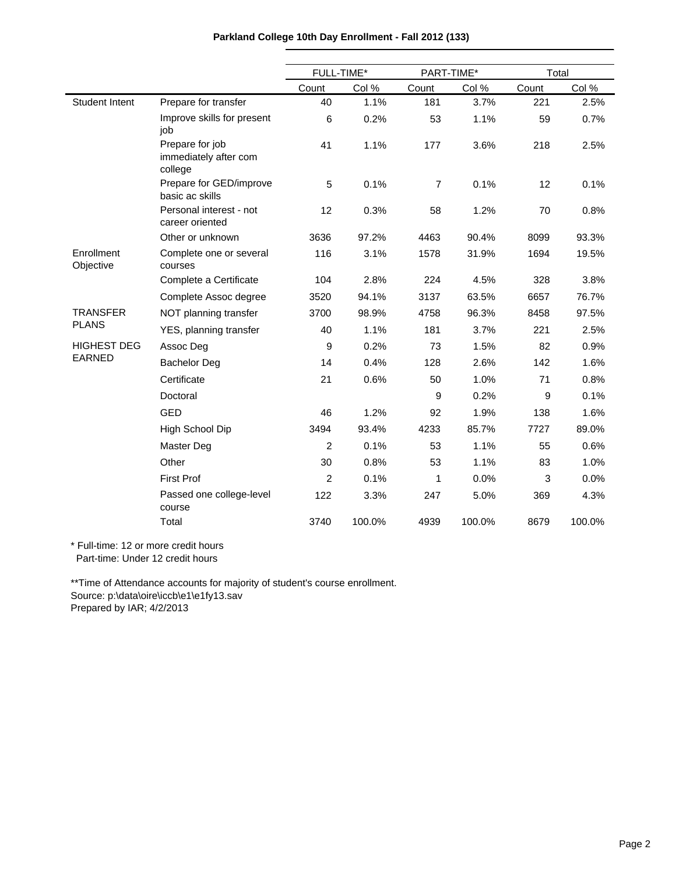|                         |                                                     | FULL-TIME*     |        | PART-TIME*     |        | Total |        |  |
|-------------------------|-----------------------------------------------------|----------------|--------|----------------|--------|-------|--------|--|
|                         |                                                     | Count          | Col %  | Count          | Col %  | Count | Col %  |  |
| <b>Student Intent</b>   | Prepare for transfer                                | 40             | 1.1%   | 181            | 3.7%   | 221   | 2.5%   |  |
|                         | Improve skills for present<br>job                   | 6              | 0.2%   | 53             | 1.1%   | 59    | 0.7%   |  |
|                         | Prepare for job<br>immediately after com<br>college | 41             | 1.1%   | 177            | 3.6%   | 218   | 2.5%   |  |
|                         | Prepare for GED/improve<br>basic ac skills          | 5              | 0.1%   | $\overline{7}$ | 0.1%   | 12    | 0.1%   |  |
|                         | Personal interest - not<br>career oriented          | 12             | 0.3%   | 58             | 1.2%   | 70    | 0.8%   |  |
|                         | Other or unknown                                    | 3636           | 97.2%  | 4463           | 90.4%  | 8099  | 93.3%  |  |
| Enrollment<br>Objective | Complete one or several<br>courses                  | 116            | 3.1%   | 1578           | 31.9%  | 1694  | 19.5%  |  |
|                         | Complete a Certificate                              | 104            | 2.8%   | 224            | 4.5%   | 328   | 3.8%   |  |
|                         | Complete Assoc degree                               | 3520           | 94.1%  | 3137           | 63.5%  | 6657  | 76.7%  |  |
| <b>TRANSFER</b>         | NOT planning transfer                               | 3700           | 98.9%  | 4758           | 96.3%  | 8458  | 97.5%  |  |
| <b>PLANS</b>            | YES, planning transfer                              | 40             | 1.1%   | 181            | 3.7%   | 221   | 2.5%   |  |
| <b>HIGHEST DEG</b>      | Assoc Deg                                           | 9              | 0.2%   | 73             | 1.5%   | 82    | 0.9%   |  |
| <b>EARNED</b>           | <b>Bachelor Deg</b>                                 | 14             | 0.4%   | 128            | 2.6%   | 142   | 1.6%   |  |
|                         | Certificate                                         | 21             | 0.6%   | 50             | 1.0%   | 71    | 0.8%   |  |
|                         | Doctoral                                            |                |        | 9              | 0.2%   | 9     | 0.1%   |  |
|                         | <b>GED</b>                                          | 46             | 1.2%   | 92             | 1.9%   | 138   | 1.6%   |  |
|                         | High School Dip                                     | 3494           | 93.4%  | 4233           | 85.7%  | 7727  | 89.0%  |  |
|                         | Master Deg                                          | 2              | 0.1%   | 53             | 1.1%   | 55    | 0.6%   |  |
|                         | Other                                               | 30             | 0.8%   | 53             | 1.1%   | 83    | 1.0%   |  |
|                         | <b>First Prof</b>                                   | $\overline{c}$ | 0.1%   | 1              | 0.0%   | 3     | 0.0%   |  |
|                         | Passed one college-level<br>course                  | 122            | 3.3%   | 247            | 5.0%   | 369   | 4.3%   |  |
|                         | Total                                               | 3740           | 100.0% | 4939           | 100.0% | 8679  | 100.0% |  |

## **Parkland College 10th Day Enrollment - Fall 2012 (133)**

\* Full-time: 12 or more credit hours

Part-time: Under 12 credit hours

\*\*Time of Attendance accounts for majority of student's course enrollment. Source: p:\data\oire\iccb\e1\e1fy13.sav Prepared by IAR; 4/2/2013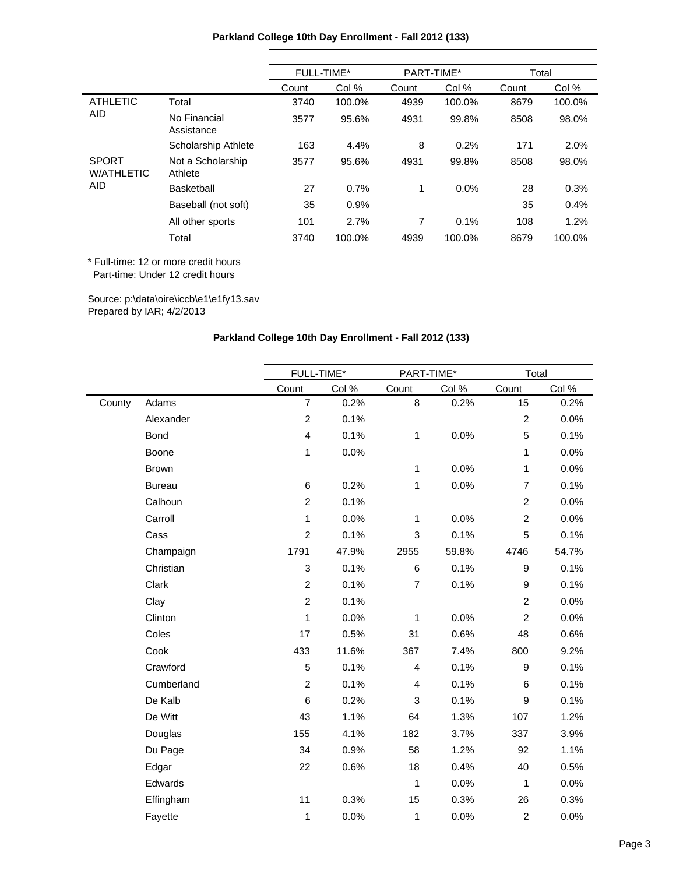|                                   |                              | FULL-TIME* |        | PART-TIME* |        | Total |        |
|-----------------------------------|------------------------------|------------|--------|------------|--------|-------|--------|
|                                   |                              | Count      | Col %  | Count      | Col %  | Count | Col %  |
| <b>ATHLETIC</b>                   | Total                        | 3740       | 100.0% | 4939       | 100.0% | 8679  | 100.0% |
| <b>AID</b>                        | No Financial<br>Assistance   | 3577       | 95.6%  | 4931       | 99.8%  | 8508  | 98.0%  |
|                                   | Scholarship Athlete          | 163        | 4.4%   | 8          | 0.2%   | 171   | 2.0%   |
| <b>SPORT</b><br><b>W/ATHLETIC</b> | Not a Scholarship<br>Athlete | 3577       | 95.6%  | 4931       | 99.8%  | 8508  | 98.0%  |
| <b>AID</b>                        | Basketball                   | 27         | 0.7%   | 1          | 0.0%   | 28    | 0.3%   |
|                                   | Baseball (not soft)          | 35         | 0.9%   |            |        | 35    | 0.4%   |
|                                   | All other sports             | 101        | 2.7%   | 7          | 0.1%   | 108   | 1.2%   |
|                                   | Total                        | 3740       | 100.0% | 4939       | 100.0% | 8679  | 100.0% |

Source: p:\data\oire\iccb\e1\e1fy13.sav Prepared by IAR; 4/2/2013

## **Parkland College 10th Day Enrollment - Fall 2012 (133)**

|        |               | FULL-TIME*              |       | PART-TIME*              |       | Total          |       |
|--------|---------------|-------------------------|-------|-------------------------|-------|----------------|-------|
|        |               | Count                   | Col % | Count                   | Col % | Count          | Col % |
| County | Adams         | $\overline{7}$          | 0.2%  | 8                       | 0.2%  | 15             | 0.2%  |
|        | Alexander     | $\overline{c}$          | 0.1%  |                         |       | $\overline{c}$ | 0.0%  |
|        | Bond          | $\overline{\mathbf{4}}$ | 0.1%  | $\mathbf{1}$            | 0.0%  | 5              | 0.1%  |
|        | Boone         | 1                       | 0.0%  |                         |       | $\mathbf{1}$   | 0.0%  |
|        | <b>Brown</b>  |                         |       | 1                       | 0.0%  | 1              | 0.0%  |
|        | <b>Bureau</b> | 6                       | 0.2%  | $\mathbf{1}$            | 0.0%  | $\overline{7}$ | 0.1%  |
|        | Calhoun       | $\overline{c}$          | 0.1%  |                         |       | $\overline{c}$ | 0.0%  |
|        | Carroll       | 1                       | 0.0%  | 1                       | 0.0%  | $\overline{c}$ | 0.0%  |
|        | Cass          | $\overline{c}$          | 0.1%  | 3                       | 0.1%  | 5              | 0.1%  |
|        | Champaign     | 1791                    | 47.9% | 2955                    | 59.8% | 4746           | 54.7% |
|        | Christian     | 3                       | 0.1%  | 6                       | 0.1%  | 9              | 0.1%  |
|        | Clark         | $\overline{c}$          | 0.1%  | $\overline{7}$          | 0.1%  | 9              | 0.1%  |
|        | Clay          | $\overline{c}$          | 0.1%  |                         |       | $\overline{c}$ | 0.0%  |
|        | Clinton       | 1                       | 0.0%  | 1                       | 0.0%  | $\overline{c}$ | 0.0%  |
|        | Coles         | 17                      | 0.5%  | 31                      | 0.6%  | 48             | 0.6%  |
|        | Cook          | 433                     | 11.6% | 367                     | 7.4%  | 800            | 9.2%  |
|        | Crawford      | 5                       | 0.1%  | $\overline{\mathbf{4}}$ | 0.1%  | 9              | 0.1%  |
|        | Cumberland    | $\overline{c}$          | 0.1%  | 4                       | 0.1%  | 6              | 0.1%  |
|        | De Kalb       | 6                       | 0.2%  | 3                       | 0.1%  | 9              | 0.1%  |
|        | De Witt       | 43                      | 1.1%  | 64                      | 1.3%  | 107            | 1.2%  |
|        | Douglas       | 155                     | 4.1%  | 182                     | 3.7%  | 337            | 3.9%  |
|        | Du Page       | 34                      | 0.9%  | 58                      | 1.2%  | 92             | 1.1%  |
|        | Edgar         | 22                      | 0.6%  | 18                      | 0.4%  | 40             | 0.5%  |
|        | Edwards       |                         |       | $\mathbf{1}$            | 0.0%  | $\mathbf{1}$   | 0.0%  |
|        | Effingham     | 11                      | 0.3%  | 15                      | 0.3%  | 26             | 0.3%  |
|        | Fayette       | 1                       | 0.0%  | 1                       | 0.0%  | $\overline{c}$ | 0.0%  |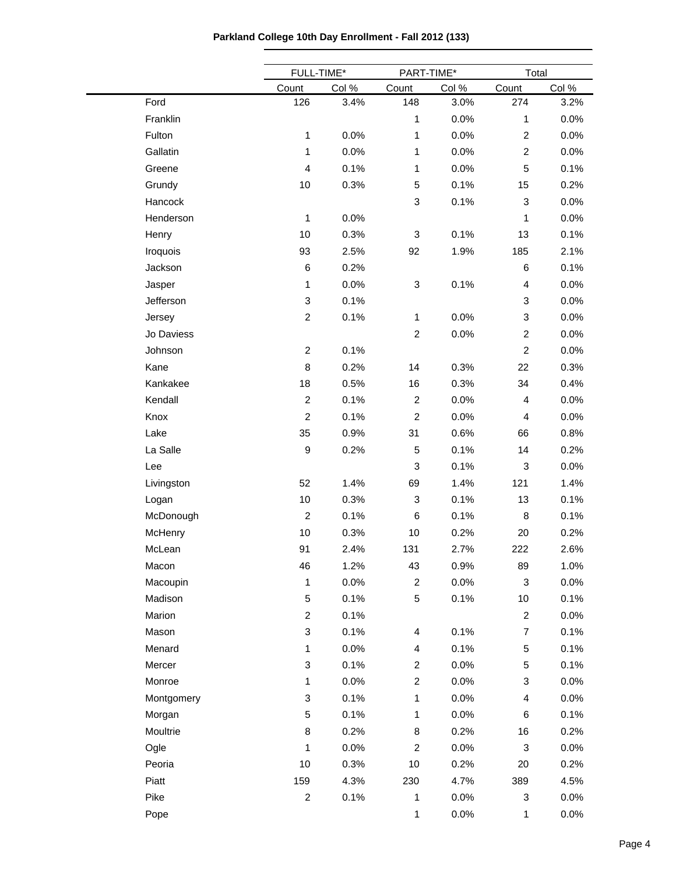| Parkland College 10th Day Enrollment - Fall 2012 (133) |  |  |  |  |  |
|--------------------------------------------------------|--|--|--|--|--|
|--------------------------------------------------------|--|--|--|--|--|

|            |                           | FULL-TIME* | PART-TIME*       |       | Total          |       |
|------------|---------------------------|------------|------------------|-------|----------------|-------|
|            | Count                     | Col %      | Count            | Col % | Count          | Col % |
| Ford       | 126                       | 3.4%       | 148              | 3.0%  | 274            | 3.2%  |
| Franklin   |                           |            | 1                | 0.0%  | 1              | 0.0%  |
| Fulton     | $\mathbf{1}$              | 0.0%       | 1                | 0.0%  | $\overline{c}$ | 0.0%  |
| Gallatin   | $\mathbf{1}$              | 0.0%       | 1                | 0.0%  | $\overline{c}$ | 0.0%  |
| Greene     | $\overline{4}$            | 0.1%       | 1                | 0.0%  | 5              | 0.1%  |
| Grundy     | 10                        | 0.3%       | $\sqrt{5}$       | 0.1%  | 15             | 0.2%  |
| Hancock    |                           |            | 3                | 0.1%  | 3              | 0.0%  |
| Henderson  | $\mathbf{1}$              | 0.0%       |                  |       | 1              | 0.0%  |
| Henry      | 10                        | 0.3%       | 3                | 0.1%  | 13             | 0.1%  |
| Iroquois   | 93                        | 2.5%       | 92               | 1.9%  | 185            | 2.1%  |
| Jackson    | $\,6$                     | 0.2%       |                  |       | 6              | 0.1%  |
| Jasper     | 1                         | 0.0%       | $\sqrt{3}$       | 0.1%  | 4              | 0.0%  |
| Jefferson  | $\ensuremath{\mathsf{3}}$ | 0.1%       |                  |       | 3              | 0.0%  |
| Jersey     | $\overline{c}$            | 0.1%       | 1                | 0.0%  | 3              | 0.0%  |
| Jo Daviess |                           |            | $\overline{2}$   | 0.0%  | $\overline{c}$ | 0.0%  |
| Johnson    | $\overline{c}$            | 0.1%       |                  |       | $\overline{c}$ | 0.0%  |
| Kane       | 8                         | 0.2%       | 14               | 0.3%  | 22             | 0.3%  |
| Kankakee   | 18                        | 0.5%       | 16               | 0.3%  | 34             | 0.4%  |
| Kendall    | $\boldsymbol{2}$          | 0.1%       | $\overline{2}$   | 0.0%  | 4              | 0.0%  |
| Knox       | $\boldsymbol{2}$          | 0.1%       | $\overline{c}$   | 0.0%  | 4              | 0.0%  |
| Lake       | 35                        | 0.9%       | 31               | 0.6%  | 66             | 0.8%  |
| La Salle   | $\boldsymbol{9}$          | 0.2%       | $\sqrt{5}$       | 0.1%  | 14             | 0.2%  |
| Lee        |                           |            | 3                | 0.1%  | 3              | 0.0%  |
| Livingston | 52                        | 1.4%       | 69               | 1.4%  | 121            | 1.4%  |
| Logan      | 10                        | 0.3%       | 3                | 0.1%  | 13             | 0.1%  |
| McDonough  | $\boldsymbol{2}$          | 0.1%       | $\,6$            | 0.1%  | $\bf 8$        | 0.1%  |
| McHenry    | 10                        | 0.3%       | 10               | 0.2%  | 20             | 0.2%  |
| McLean     | 91                        | 2.4%       | 131              | 2.7%  | 222            | 2.6%  |
| Macon      | 46                        | 1.2%       | 43               | 0.9%  | 89             | 1.0%  |
| Macoupin   | $\mathbf{1}$              | 0.0%       | $\overline{2}$   | 0.0%  | 3              | 0.0%  |
| Madison    | $\mathbf 5$               | 0.1%       | 5                | 0.1%  | $10$           | 0.1%  |
| Marion     | $\overline{c}$            | 0.1%       |                  |       | $\overline{c}$ | 0.0%  |
| Mason      | $\ensuremath{\mathsf{3}}$ | 0.1%       | 4                | 0.1%  | $\overline{7}$ | 0.1%  |
| Menard     | 1                         | 0.0%       | 4                | 0.1%  | 5              | 0.1%  |
| Mercer     | $\ensuremath{\mathsf{3}}$ | 0.1%       | $\overline{c}$   | 0.0%  | 5              | 0.1%  |
| Monroe     | 1                         | 0.0%       | $\boldsymbol{2}$ | 0.0%  | 3              | 0.0%  |
| Montgomery | $\ensuremath{\mathsf{3}}$ | 0.1%       | 1                | 0.0%  | 4              | 0.0%  |
| Morgan     | $\mathbf 5$               | 0.1%       | 1                | 0.0%  | 6              | 0.1%  |
| Moultrie   | $\bf8$                    | 0.2%       | 8                | 0.2%  | 16             | 0.2%  |
| Ogle       | 1                         | 0.0%       | $\overline{c}$   | 0.0%  | 3              | 0.0%  |
| Peoria     | 10                        | 0.3%       | 10               | 0.2%  | 20             | 0.2%  |
| Piatt      | 159                       | 4.3%       | 230              | 4.7%  | 389            | 4.5%  |
| Pike       | $\boldsymbol{2}$          | 0.1%       | 1                | 0.0%  | 3              | 0.0%  |
|            |                           |            |                  | 0.0%  |                | 0.0%  |
| Pope       |                           |            | 1                |       | 1              |       |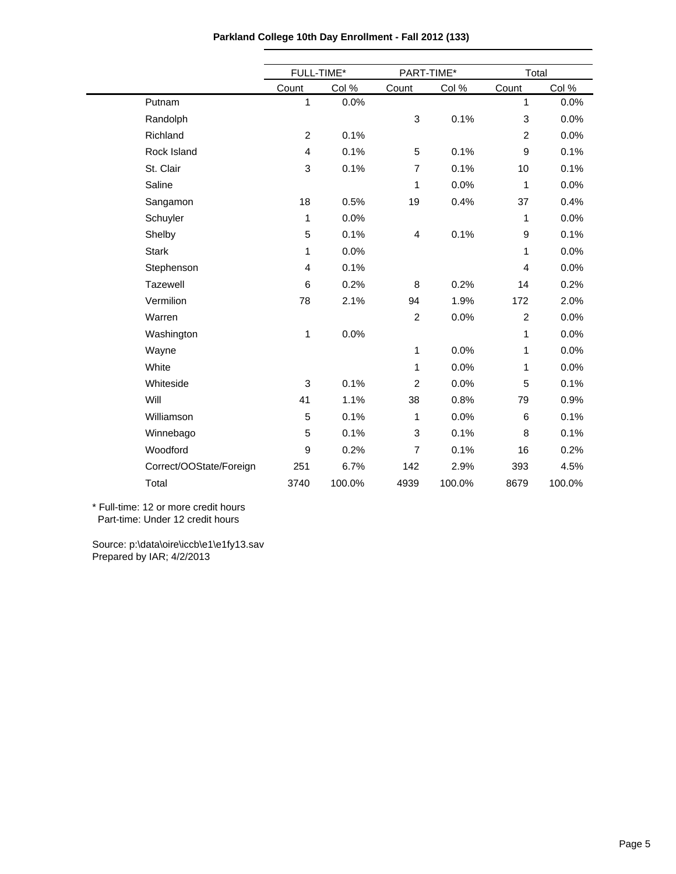|                         | FULL-TIME*     |        | PART-TIME*     |        | Total          |        |  |
|-------------------------|----------------|--------|----------------|--------|----------------|--------|--|
|                         | Count          | Col %  | Count          | Col %  | Count          | Col %  |  |
| Putnam                  | 1              | 0.0%   |                |        | $\mathbf{1}$   | 0.0%   |  |
| Randolph                |                |        | 3              | 0.1%   | 3              | 0.0%   |  |
| Richland                | $\overline{c}$ | 0.1%   |                |        | $\overline{c}$ | 0.0%   |  |
| Rock Island             | 4              | 0.1%   | 5              | 0.1%   | $\mathsf g$    | 0.1%   |  |
| St. Clair               | 3              | 0.1%   | $\overline{7}$ | 0.1%   | 10             | 0.1%   |  |
| Saline                  |                |        | 1              | 0.0%   | 1              | 0.0%   |  |
| Sangamon                | 18             | 0.5%   | 19             | 0.4%   | 37             | 0.4%   |  |
| Schuyler                | 1              | 0.0%   |                |        | 1              | 0.0%   |  |
| Shelby                  | 5              | 0.1%   | 4              | 0.1%   | 9              | 0.1%   |  |
| <b>Stark</b>            | 1              | 0.0%   |                |        | 1              | 0.0%   |  |
| Stephenson              | 4              | 0.1%   |                |        | 4              | 0.0%   |  |
| Tazewell                | 6              | 0.2%   | 8              | 0.2%   | 14             | 0.2%   |  |
| Vermilion               | 78             | 2.1%   | 94             | 1.9%   | 172            | 2.0%   |  |
| Warren                  |                |        | $\overline{2}$ | 0.0%   | $\overline{c}$ | 0.0%   |  |
| Washington              | 1              | 0.0%   |                |        | 1              | 0.0%   |  |
| Wayne                   |                |        | 1              | 0.0%   | 1              | 0.0%   |  |
| White                   |                |        | 1              | 0.0%   | 1              | 0.0%   |  |
| Whiteside               | 3              | 0.1%   | $\overline{2}$ | 0.0%   | 5              | 0.1%   |  |
| Will                    | 41             | 1.1%   | 38             | 0.8%   | 79             | 0.9%   |  |
| Williamson              | 5              | 0.1%   | 1              | 0.0%   | $\,6$          | 0.1%   |  |
| Winnebago               | 5              | 0.1%   | 3              | 0.1%   | 8              | 0.1%   |  |
| Woodford                | 9              | 0.2%   | 7              | 0.1%   | 16             | 0.2%   |  |
| Correct/OOState/Foreign | 251            | 6.7%   | 142            | 2.9%   | 393            | 4.5%   |  |
| Total                   | 3740           | 100.0% | 4939           | 100.0% | 8679           | 100.0% |  |
|                         |                |        |                |        |                |        |  |

**Parkland College 10th Day Enrollment - Fall 2012 (133)**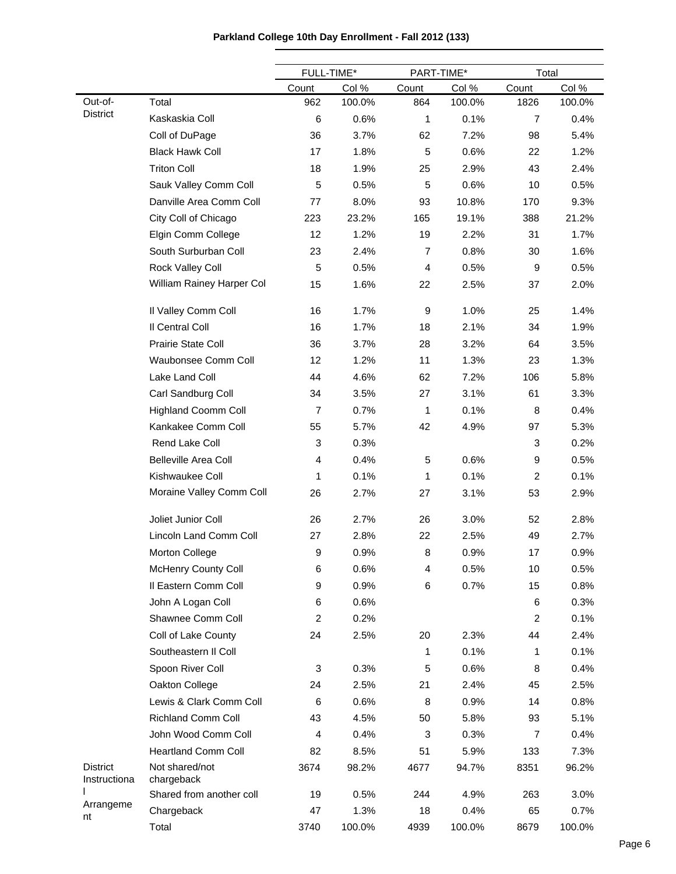|                                 |                              | FULL-TIME*     |        | PART-TIME*     |        | Total          |        |
|---------------------------------|------------------------------|----------------|--------|----------------|--------|----------------|--------|
|                                 |                              | Count          | Col %  | Count          | Col %  | Count          | Col %  |
| Out-of-                         | Total                        | 962            | 100.0% | 864            | 100.0% | 1826           | 100.0% |
| <b>District</b>                 | Kaskaskia Coll               | 6              | 0.6%   | 1              | 0.1%   | 7              | 0.4%   |
|                                 | Coll of DuPage               | 36             | 3.7%   | 62             | 7.2%   | 98             | 5.4%   |
|                                 | <b>Black Hawk Coll</b>       | 17             | 1.8%   | 5              | 0.6%   | 22             | 1.2%   |
|                                 | <b>Triton Coll</b>           | 18             | 1.9%   | 25             | 2.9%   | 43             | 2.4%   |
|                                 | Sauk Valley Comm Coll        | 5              | 0.5%   | 5              | 0.6%   | 10             | 0.5%   |
|                                 | Danville Area Comm Coll      | 77             | 8.0%   | 93             | 10.8%  | 170            | 9.3%   |
|                                 | City Coll of Chicago         | 223            | 23.2%  | 165            | 19.1%  | 388            | 21.2%  |
|                                 | Elgin Comm College           | 12             | 1.2%   | 19             | 2.2%   | 31             | 1.7%   |
|                                 | South Surburban Coll         | 23             | 2.4%   | $\overline{7}$ | 0.8%   | 30             | 1.6%   |
|                                 | Rock Valley Coll             | 5              | 0.5%   | 4              | 0.5%   | 9              | 0.5%   |
|                                 | William Rainey Harper Col    | 15             | 1.6%   | 22             | 2.5%   | 37             | 2.0%   |
|                                 | Il Valley Comm Coll          | 16             | 1.7%   | 9              | 1.0%   | 25             | 1.4%   |
|                                 | Il Central Coll              | 16             | 1.7%   | 18             | 2.1%   | 34             | 1.9%   |
|                                 | Prairie State Coll           | 36             | 3.7%   | 28             | 3.2%   | 64             | 3.5%   |
|                                 | Waubonsee Comm Coll          | 12             | 1.2%   | 11             | 1.3%   | 23             | 1.3%   |
|                                 | Lake Land Coll               | 44             | 4.6%   | 62             | 7.2%   | 106            | 5.8%   |
|                                 | Carl Sandburg Coll           | 34             | 3.5%   | 27             | 3.1%   | 61             | 3.3%   |
|                                 | <b>Highland Coomm Coll</b>   | $\overline{7}$ | 0.7%   | 1              | 0.1%   | 8              | 0.4%   |
|                                 | Kankakee Comm Coll           | 55             | 5.7%   | 42             | 4.9%   | 97             | 5.3%   |
|                                 | Rend Lake Coll               | 3              | 0.3%   |                |        | 3              | 0.2%   |
|                                 | <b>Belleville Area Coll</b>  | 4              | 0.4%   | 5              | 0.6%   | 9              | 0.5%   |
|                                 | Kishwaukee Coll              | 1              | 0.1%   | 1              | 0.1%   | $\overline{c}$ | 0.1%   |
|                                 | Moraine Valley Comm Coll     | 26             | 2.7%   | 27             | 3.1%   | 53             | 2.9%   |
|                                 | Joliet Junior Coll           | 26             | 2.7%   | 26             | 3.0%   | 52             | 2.8%   |
|                                 | Lincoln Land Comm Coll       | 27             | 2.8%   | 22             | 2.5%   | 49             | 2.7%   |
|                                 | Morton College               | 9              | 0.9%   | 8              | 0.9%   | 17             | 0.9%   |
|                                 | McHenry County Coll          | 6              | 0.6%   | 4              | 0.5%   | 10             | 0.5%   |
|                                 | Il Eastern Comm Coll         | 9              | 0.9%   | 6              | 0.7%   | 15             | 0.8%   |
|                                 | John A Logan Coll            | 6              | 0.6%   |                |        | 6              | 0.3%   |
|                                 | Shawnee Comm Coll            | $\overline{c}$ | 0.2%   |                |        | 2              | 0.1%   |
|                                 | Coll of Lake County          | 24             | 2.5%   | 20             | 2.3%   | 44             | 2.4%   |
|                                 | Southeastern II Coll         |                |        | 1              | 0.1%   | 1              | 0.1%   |
|                                 | Spoon River Coll             | 3              | 0.3%   | 5              | 0.6%   | 8              | 0.4%   |
|                                 | Oakton College               | 24             | 2.5%   | 21             | 2.4%   | 45             | 2.5%   |
|                                 | Lewis & Clark Comm Coll      | 6              | 0.6%   | 8              | 0.9%   | 14             | 0.8%   |
|                                 | <b>Richland Comm Coll</b>    | 43             | 4.5%   | 50             | 5.8%   | 93             | 5.1%   |
|                                 | John Wood Comm Coll          | 4              | 0.4%   | 3              | 0.3%   | $\overline{7}$ | 0.4%   |
|                                 | <b>Heartland Comm Coll</b>   | 82             | 8.5%   | 51             | 5.9%   | 133            | 7.3%   |
| <b>District</b><br>Instructiona | Not shared/not<br>chargeback | 3674           | 98.2%  | 4677           | 94.7%  | 8351           | 96.2%  |
|                                 | Shared from another coll     | 19             | 0.5%   | 244            | 4.9%   | 263            | 3.0%   |
| Arrangeme<br>nt                 | Chargeback                   | 47             | 1.3%   | 18             | 0.4%   | 65             | 0.7%   |
|                                 | Total                        | 3740           | 100.0% | 4939           | 100.0% | 8679           | 100.0% |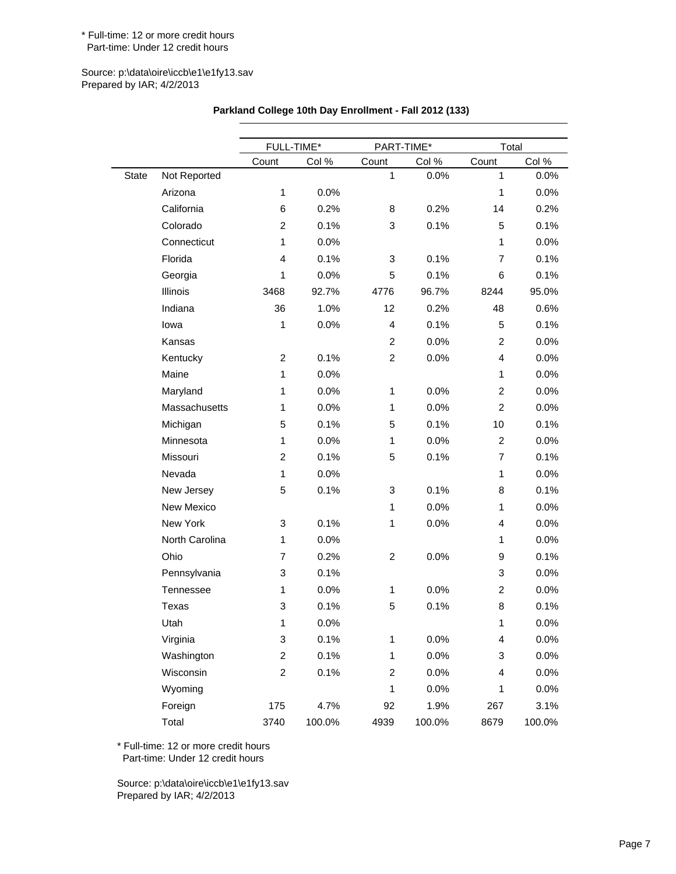#### Source: p:\data\oire\iccb\e1\e1fy13.sav Prepared by IAR; 4/2/2013

|       |                | FULL-TIME*     |        | PART-TIME*     |        | Total          |        |  |
|-------|----------------|----------------|--------|----------------|--------|----------------|--------|--|
|       |                | Count          | Col %  | Count          | Col %  | Count          | Col %  |  |
| State | Not Reported   |                |        | $\mathbf{1}$   | 0.0%   | $\mathbf{1}$   | 0.0%   |  |
|       | Arizona        | $\mathbf{1}$   | 0.0%   |                |        | $\mathbf{1}$   | 0.0%   |  |
|       | California     | 6              | 0.2%   | 8              | 0.2%   | 14             | 0.2%   |  |
|       | Colorado       | $\overline{2}$ | 0.1%   | 3              | 0.1%   | 5              | 0.1%   |  |
|       | Connecticut    | $\mathbf{1}$   | 0.0%   |                |        | 1              | 0.0%   |  |
|       | Florida        | 4              | 0.1%   | 3              | 0.1%   | $\overline{7}$ | 0.1%   |  |
|       | Georgia        | 1              | 0.0%   | 5              | 0.1%   | 6              | 0.1%   |  |
|       | Illinois       | 3468           | 92.7%  | 4776           | 96.7%  | 8244           | 95.0%  |  |
|       | Indiana        | 36             | 1.0%   | 12             | 0.2%   | 48             | 0.6%   |  |
|       | lowa           | 1              | 0.0%   | 4              | 0.1%   | 5              | 0.1%   |  |
|       | Kansas         |                |        | 2              | 0.0%   | $\overline{2}$ | 0.0%   |  |
|       | Kentucky       | $\overline{2}$ | 0.1%   | $\overline{2}$ | 0.0%   | 4              | 0.0%   |  |
|       | Maine          | $\mathbf{1}$   | 0.0%   |                |        | 1              | 0.0%   |  |
|       | Maryland       | 1              | 0.0%   | $\mathbf{1}$   | 0.0%   | $\overline{2}$ | 0.0%   |  |
|       | Massachusetts  | 1              | 0.0%   | $\mathbf{1}$   | 0.0%   | $\overline{2}$ | 0.0%   |  |
|       | Michigan       | 5              | 0.1%   | 5              | 0.1%   | 10             | 0.1%   |  |
|       | Minnesota      | $\mathbf{1}$   | 0.0%   | $\mathbf{1}$   | 0.0%   | 2              | 0.0%   |  |
|       | Missouri       | $\overline{2}$ | 0.1%   | 5              | 0.1%   | $\overline{7}$ | 0.1%   |  |
|       | Nevada         | $\mathbf{1}$   | 0.0%   |                |        | 1              | 0.0%   |  |
|       | New Jersey     | 5              | 0.1%   | 3              | 0.1%   | 8              | 0.1%   |  |
|       | New Mexico     |                |        | $\mathbf{1}$   | 0.0%   | 1              | 0.0%   |  |
|       | New York       | 3              | 0.1%   | $\mathbf{1}$   | 0.0%   | $\overline{4}$ | 0.0%   |  |
|       | North Carolina | 1              | 0.0%   |                |        | 1              | 0.0%   |  |
|       | Ohio           | $\overline{7}$ | 0.2%   | $\overline{2}$ | 0.0%   | 9              | 0.1%   |  |
|       | Pennsylvania   | 3              | 0.1%   |                |        | 3              | 0.0%   |  |
|       | Tennessee      | 1              | 0.0%   | $\mathbf{1}$   | 0.0%   | $\overline{2}$ | 0.0%   |  |
|       | Texas          | 3              | 0.1%   | 5              | 0.1%   | 8              | 0.1%   |  |
|       | Utah           | 1              | 0.0%   |                |        | 1              | 0.0%   |  |
|       | Virginia       | 3              | 0.1%   | $\mathbf{1}$   | 0.0%   | 4              | 0.0%   |  |
|       | Washington     | $\overline{2}$ | 0.1%   | $\mathbf{1}$   | 0.0%   | 3              | 0.0%   |  |
|       | Wisconsin      | $\overline{2}$ | 0.1%   | $\overline{c}$ | 0.0%   | 4              | 0.0%   |  |
|       | Wyoming        |                |        | $\mathbf{1}$   | 0.0%   | $\mathbf 1$    | 0.0%   |  |
|       | Foreign        | 175            | 4.7%   | 92             | 1.9%   | 267            | 3.1%   |  |
|       | Total          | 3740           | 100.0% | 4939           | 100.0% | 8679           | 100.0% |  |

### **Parkland College 10th Day Enrollment - Fall 2012 (133)**

\* Full-time: 12 or more credit hours Part-time: Under 12 credit hours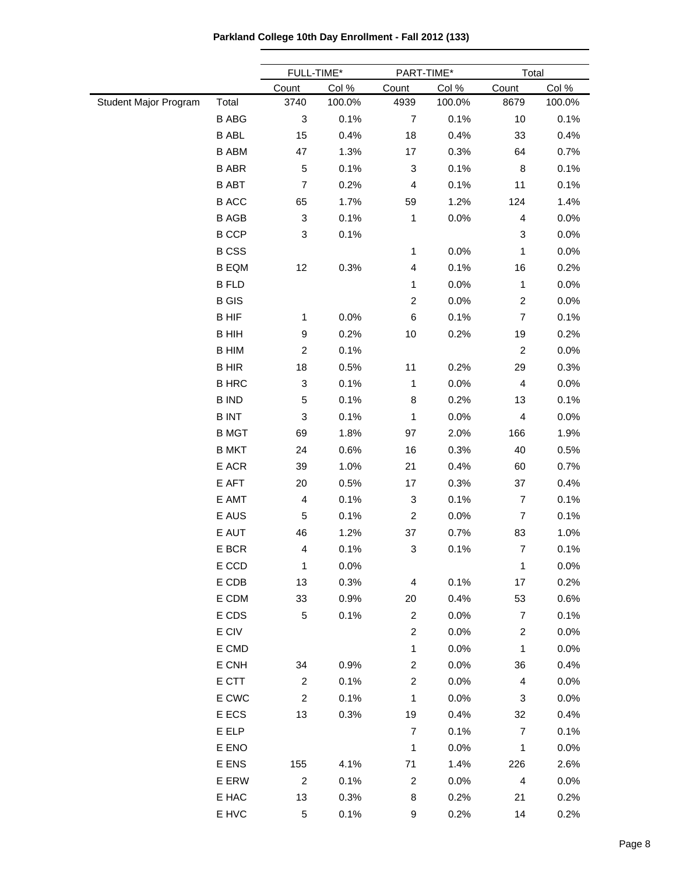**Parkland College 10th Day Enrollment - Fall 2012 (133)**

 $\overline{\phantom{0}}$ 

|                       |              | FULL-TIME*              |        |                           | PART-TIME* |                         | Total  |  |
|-----------------------|--------------|-------------------------|--------|---------------------------|------------|-------------------------|--------|--|
|                       |              | Count                   | Col %  | Count                     | Col %      | Count                   | Col %  |  |
| Student Major Program | Total        | 3740                    | 100.0% | 4939                      | 100.0%     | 8679                    | 100.0% |  |
|                       | <b>B ABG</b> | 3                       | 0.1%   | $\overline{7}$            | 0.1%       | 10                      | 0.1%   |  |
|                       | <b>B ABL</b> | 15                      | 0.4%   | 18                        | 0.4%       | 33                      | 0.4%   |  |
|                       | <b>B ABM</b> | 47                      | 1.3%   | 17                        | 0.3%       | 64                      | 0.7%   |  |
|                       | <b>B ABR</b> | 5                       | 0.1%   | 3                         | 0.1%       | 8                       | 0.1%   |  |
|                       | <b>B ABT</b> | 7                       | 0.2%   | 4                         | 0.1%       | 11                      | 0.1%   |  |
|                       | <b>B ACC</b> | 65                      | 1.7%   | 59                        | 1.2%       | 124                     | 1.4%   |  |
|                       | <b>B AGB</b> | 3                       | 0.1%   | 1                         | 0.0%       | 4                       | 0.0%   |  |
|                       | <b>B CCP</b> | 3                       | 0.1%   |                           |            | 3                       | 0.0%   |  |
|                       | <b>B CSS</b> |                         |        | 1                         | 0.0%       | 1                       | 0.0%   |  |
|                       | <b>B EQM</b> | 12                      | 0.3%   | 4                         | 0.1%       | 16                      | 0.2%   |  |
|                       | <b>B FLD</b> |                         |        | 1                         | 0.0%       | 1                       | 0.0%   |  |
|                       | <b>B</b> GIS |                         |        | $\boldsymbol{2}$          | 0.0%       | $\overline{\mathbf{c}}$ | 0.0%   |  |
|                       | <b>BHIF</b>  | 1                       | 0.0%   | $\,6$                     | 0.1%       | $\overline{7}$          | 0.1%   |  |
|                       | <b>B HIH</b> | 9                       | 0.2%   | 10                        | 0.2%       | 19                      | 0.2%   |  |
|                       | <b>B HIM</b> | $\overline{\mathbf{c}}$ | 0.1%   |                           |            | $\overline{c}$          | 0.0%   |  |
|                       | <b>BHIR</b>  | 18                      | 0.5%   | 11                        | 0.2%       | 29                      | 0.3%   |  |
|                       | <b>B HRC</b> | 3                       | 0.1%   | 1                         | 0.0%       | $\overline{\mathbf{4}}$ | 0.0%   |  |
|                       | <b>B IND</b> | 5                       | 0.1%   | 8                         | 0.2%       | 13                      | 0.1%   |  |
|                       | <b>BINT</b>  | 3                       | 0.1%   | 1                         | 0.0%       | 4                       | 0.0%   |  |
|                       | <b>B MGT</b> | 69                      | 1.8%   | 97                        | 2.0%       | 166                     | 1.9%   |  |
|                       | <b>B MKT</b> | 24                      | 0.6%   | 16                        | 0.3%       | 40                      | 0.5%   |  |
|                       | E ACR        | 39                      | 1.0%   | 21                        | 0.4%       | 60                      | 0.7%   |  |
|                       | E AFT        | 20                      | 0.5%   | 17                        | 0.3%       | 37                      | 0.4%   |  |
|                       | E AMT        | 4                       | 0.1%   | $\ensuremath{\mathsf{3}}$ | 0.1%       | $\overline{7}$          | 0.1%   |  |
|                       | E AUS        | 5                       | 0.1%   | $\boldsymbol{2}$          | 0.0%       | $\overline{7}$          | 0.1%   |  |
|                       | E AUT        | 46                      | 1.2%   | 37                        | 0.7%       | 83                      | 1.0%   |  |
|                       | E BCR        | 4                       | 0.1%   | 3                         | 0.1%       | $\overline{7}$          | 0.1%   |  |
|                       | E CCD        | $\mathbf{1}$            | 0.0%   |                           |            | 1                       | 0.0%   |  |
|                       | E CDB        | 13                      | 0.3%   | 4                         | 0.1%       | 17                      | 0.2%   |  |
|                       | E CDM        | 33                      | 0.9%   | 20                        | 0.4%       | 53                      | 0.6%   |  |
|                       | E CDS        | 5                       | 0.1%   | $\overline{c}$            | 0.0%       | 7                       | 0.1%   |  |
|                       | E CIV        |                         |        | $\overline{c}$            | 0.0%       | $\overline{\mathbf{c}}$ | 0.0%   |  |
|                       | E CMD        |                         |        | 1                         | 0.0%       | 1                       | 0.0%   |  |
|                       | E CNH        | 34                      | 0.9%   | $\overline{c}$            | 0.0%       | 36                      | 0.4%   |  |
|                       | E CTT        | $\overline{c}$          | 0.1%   | $\overline{c}$            | 0.0%       | 4                       | 0.0%   |  |
|                       | E CWC        | $\overline{c}$          | 0.1%   | 1                         | 0.0%       | 3                       | 0.0%   |  |
|                       | E ECS        | 13                      |        | 19                        |            | 32                      | 0.4%   |  |
|                       | E ELP        |                         | 0.3%   | $\overline{7}$            | 0.4%       | $\overline{7}$          |        |  |
|                       |              |                         |        |                           | 0.1%       |                         | 0.1%   |  |
|                       | E ENO        |                         |        | 1                         | 0.0%       | 1                       | 0.0%   |  |
|                       | E ENS        | 155                     | 4.1%   | 71                        | 1.4%       | 226                     | 2.6%   |  |
|                       | E ERW        | $\overline{c}$          | 0.1%   | 2                         | 0.0%       | 4                       | 0.0%   |  |
|                       | E HAC        | 13                      | 0.3%   | 8                         | 0.2%       | 21                      | 0.2%   |  |
|                       | E HVC        | 5                       | 0.1%   | 9                         | 0.2%       | 14                      | 0.2%   |  |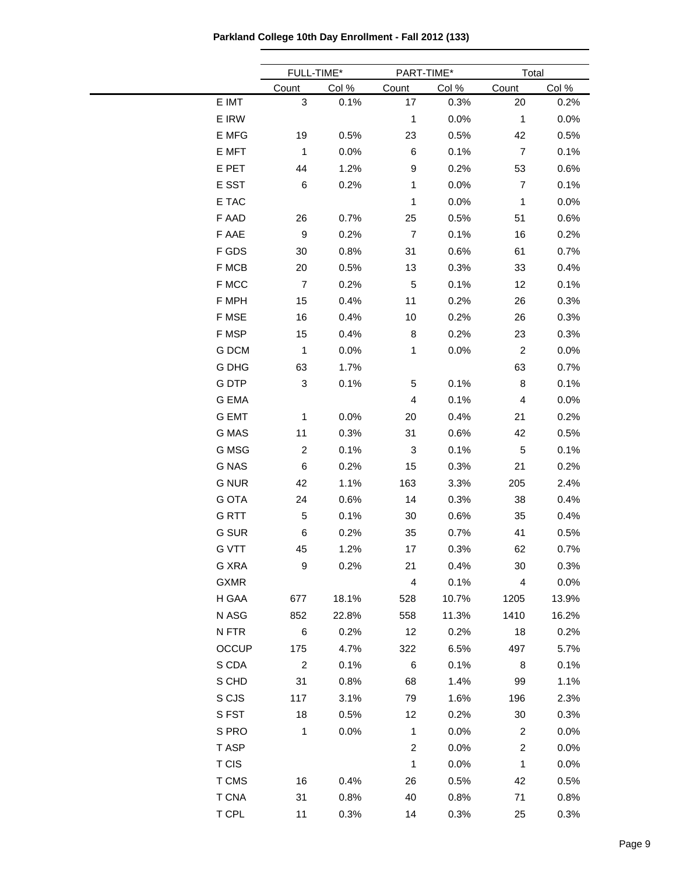**Parkland College 10th Day Enrollment - Fall 2012 (133)**

|              |                     | FULL-TIME*   |                         | PART-TIME*   | Total                   |               |
|--------------|---------------------|--------------|-------------------------|--------------|-------------------------|---------------|
| E IMT        | Count<br>$\sqrt{3}$ | Col%<br>0.1% | Count<br>17             | Col%<br>0.3% | Count<br>20             | Col %<br>0.2% |
| E IRW        |                     |              | $\mathbf 1$             | 0.0%         | $\mathbf{1}$            | 0.0%          |
| E MFG        | 19                  | 0.5%         | 23                      | 0.5%         | 42                      | 0.5%          |
| E MFT        | $\mathbf{1}$        | 0.0%         | 6                       | 0.1%         | $\overline{7}$          | 0.1%          |
| E PET        | 44                  | 1.2%         | 9                       | 0.2%         | 53                      | 0.6%          |
| E SST        | $\,6$               | 0.2%         | 1                       | 0.0%         | $\overline{7}$          | 0.1%          |
| E TAC        |                     |              | 1                       | 0.0%         | $\mathbf{1}$            | 0.0%          |
| F AAD        | 26                  | 0.7%         | 25                      | 0.5%         | 51                      | 0.6%          |
| F AAE        | $\boldsymbol{9}$    | 0.2%         | $\overline{7}$          | 0.1%         | 16                      | 0.2%          |
| F GDS        | 30                  | 0.8%         | 31                      | 0.6%         | 61                      | 0.7%          |
| F MCB        | 20                  | 0.5%         | 13                      | 0.3%         | 33                      | 0.4%          |
| F MCC        | $\overline{7}$      | 0.2%         | 5                       | 0.1%         | 12                      | 0.1%          |
| F MPH        | 15                  | 0.4%         | 11                      | 0.2%         | 26                      | 0.3%          |
| F MSE        | 16                  | 0.4%         | 10                      | 0.2%         | 26                      | 0.3%          |
| F MSP        | 15                  | 0.4%         | 8                       | 0.2%         | 23                      | 0.3%          |
| G DCM        | $\mathbf{1}$        | 0.0%         | 1                       | 0.0%         | $\overline{c}$          | 0.0%          |
| G DHG        | 63                  | 1.7%         |                         |              | 63                      | 0.7%          |
| <b>GDTP</b>  | 3                   | 0.1%         | 5                       | 0.1%         | 8                       | 0.1%          |
| G EMA        |                     |              | 4                       | 0.1%         | 4                       | 0.0%          |
| <b>G EMT</b> | 1                   | 0.0%         | 20                      | 0.4%         | 21                      | 0.2%          |
| G MAS        | 11                  | 0.3%         | 31                      | 0.6%         | 42                      | 0.5%          |
| G MSG        | $\overline{c}$      | 0.1%         | 3                       | 0.1%         | 5                       | 0.1%          |
| <b>G NAS</b> | $\,6$               | 0.2%         | 15                      | 0.3%         | 21                      | 0.2%          |
| <b>G NUR</b> | 42                  | 1.1%         | 163                     | 3.3%         | 205                     | 2.4%          |
| <b>G OTA</b> | 24                  | 0.6%         | 14                      | 0.3%         | 38                      | 0.4%          |
| <b>GRTT</b>  | $\,$ 5 $\,$         | 0.1%         | 30                      | 0.6%         | 35                      | 0.4%          |
| G SUR        | 6                   | 0.2%         | 35                      | 0.7%         | 41                      | 0.5%          |
| <b>G VTT</b> | 45                  | 1.2%         | 17                      | 0.3%         | 62                      | 0.7%          |
| G XRA        | 9                   | 0.2%         | 21                      | 0.4%         | 30                      | 0.3%          |
| <b>GXMR</b>  |                     |              | $\overline{\mathbf{4}}$ | 0.1%         | $\overline{\mathbf{4}}$ | 0.0%          |
| H GAA        | 677                 | 18.1%        | 528                     | 10.7%        | 1205                    | 13.9%         |
| N ASG        | 852                 | 22.8%        | 558                     | 11.3%        | 1410                    | 16.2%         |
| N FTR        | $\,6$               | 0.2%         | 12                      | 0.2%         | 18                      | 0.2%          |
|              | OCCUP<br>175        | 4.7%         | 322                     | 6.5%         | 497                     | 5.7%          |
| S CDA        | $\overline{c}$      | 0.1%         | 6                       | 0.1%         | 8                       | 0.1%          |
| S CHD        | 31                  | 0.8%         | 68                      | 1.4%         | 99                      | 1.1%          |
| S CJS        | 117                 | 3.1%         | 79                      | 1.6%         | 196                     | 2.3%          |
| S FST        | 18                  | 0.5%         | 12                      | 0.2%         | 30                      | 0.3%          |
| S PRO        | 1                   | 0.0%         | 1                       | 0.0%         | $\boldsymbol{2}$        | 0.0%          |
| T ASP        |                     |              | $\boldsymbol{2}$        | 0.0%         | $\overline{c}$          | 0.0%          |
| <b>T CIS</b> |                     |              | 1                       | 0.0%         | $\mathbf{1}$            | 0.0%          |
| T CMS        | 16                  | 0.4%         | 26                      | 0.5%         | 42                      | 0.5%          |
| <b>T CNA</b> | 31                  | 0.8%         | 40                      | 0.8%         | 71                      | 0.8%          |
| T CPL        | 11                  | 0.3%         | 14                      | 0.3%         | 25                      | 0.3%          |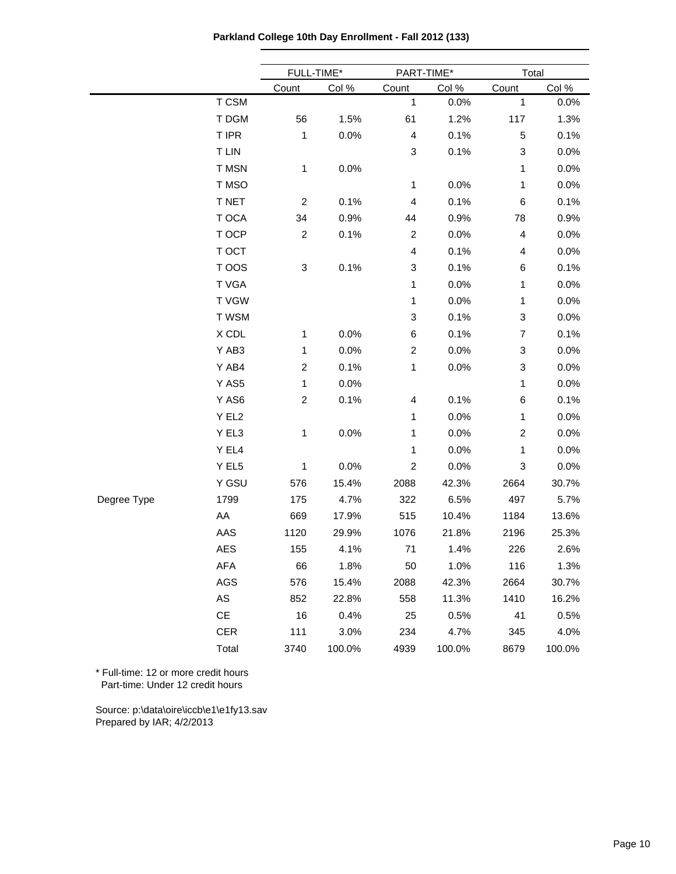**Parkland College 10th Day Enrollment - Fall 2012 (133)**

|             |                               | FULL-TIME*                |        | PART-TIME*              |        | Total          |        |  |
|-------------|-------------------------------|---------------------------|--------|-------------------------|--------|----------------|--------|--|
|             |                               | Count                     | Col %  | Count                   | Col %  | Count          | Col %  |  |
|             | T CSM                         |                           |        | 1                       | 0.0%   | $\mathbf{1}$   | 0.0%   |  |
|             | T DGM                         | 56                        | 1.5%   | 61                      | 1.2%   | 117            | 1.3%   |  |
|             | T IPR                         | $\mathbf{1}$              | 0.0%   | $\overline{\mathbf{4}}$ | 0.1%   | $\mathbf 5$    | 0.1%   |  |
|             | <b>T LIN</b>                  |                           |        | 3                       | 0.1%   | 3              | 0.0%   |  |
|             | T MSN                         | $\mathbf{1}$              | 0.0%   |                         |        | 1              | 0.0%   |  |
|             | T MSO                         |                           |        | $\mathbf 1$             | 0.0%   | 1              | 0.0%   |  |
|             | T NET                         | $\boldsymbol{2}$          | 0.1%   | 4                       | 0.1%   | 6              | 0.1%   |  |
|             | T OCA                         | 34                        | 0.9%   | 44                      | 0.9%   | 78             | 0.9%   |  |
|             | T OCP                         | $\boldsymbol{2}$          | 0.1%   | $\overline{c}$          | 0.0%   | 4              | 0.0%   |  |
|             | T OCT                         |                           |        | $\overline{\mathbf{4}}$ | 0.1%   | 4              | 0.0%   |  |
|             | T OOS                         | $\ensuremath{\mathsf{3}}$ | 0.1%   | 3                       | 0.1%   | 6              | 0.1%   |  |
|             | T VGA                         |                           |        | $\mathbf 1$             | 0.0%   | 1              | 0.0%   |  |
|             | T VGW                         |                           |        | 1                       | 0.0%   | 1              | 0.0%   |  |
|             | T WSM                         |                           |        | 3                       | 0.1%   | 3              | 0.0%   |  |
|             | X CDL                         | 1                         | 0.0%   | 6                       | 0.1%   | $\overline{7}$ | 0.1%   |  |
|             | Y AB3                         | $\mathbf{1}$              | 0.0%   | $\overline{c}$          | 0.0%   | 3              | 0.0%   |  |
|             | Y AB4                         | $\overline{c}$            | 0.1%   | 1                       | 0.0%   | 3              | 0.0%   |  |
|             | Y AS5                         | $\mathbf{1}$              | 0.0%   |                         |        | 1              | 0.0%   |  |
|             | Y AS6                         | $\overline{c}$            | 0.1%   | 4                       | 0.1%   | 6              | 0.1%   |  |
|             | Y EL2                         |                           |        | $\mathbf 1$             | 0.0%   | 1              | 0.0%   |  |
|             | Y EL3                         | $\mathbf{1}$              | 0.0%   | 1                       | 0.0%   | $\overline{c}$ | 0.0%   |  |
|             | Y EL4                         |                           |        | 1                       | 0.0%   | 1              | 0.0%   |  |
|             | Y EL5                         | $\mathbf{1}$              | 0.0%   | $\overline{c}$          | 0.0%   | 3              | 0.0%   |  |
|             | Y GSU                         | 576                       | 15.4%  | 2088                    | 42.3%  | 2664           | 30.7%  |  |
| Degree Type | 1799                          | 175                       | 4.7%   | 322                     | 6.5%   | 497            | 5.7%   |  |
|             | AA                            | 669                       | 17.9%  | 515                     | 10.4%  | 1184           | 13.6%  |  |
|             | AAS                           | 1120                      | 29.9%  | 1076                    | 21.8%  | 2196           | 25.3%  |  |
|             | <b>AES</b>                    | 155                       | 4.1%   | 71                      | 1.4%   | 226            | 2.6%   |  |
|             | AFA                           | 66                        | 1.8%   | 50                      | 1.0%   | 116            | 1.3%   |  |
|             | AGS                           | 576                       | 15.4%  | 2088                    | 42.3%  | 2664           | 30.7%  |  |
|             | ${\sf AS}$                    | 852                       | 22.8%  | 558                     | 11.3%  | 1410           | 16.2%  |  |
|             | $\mathsf{CE}% _{\mathcal{A}}$ | 16                        | 0.4%   | 25                      | 0.5%   | 41             | 0.5%   |  |
|             | <b>CER</b>                    | 111                       | 3.0%   | 234                     | 4.7%   | 345            | 4.0%   |  |
|             | Total                         | 3740                      | 100.0% | 4939                    | 100.0% | 8679           | 100.0% |  |
|             |                               |                           |        |                         |        |                |        |  |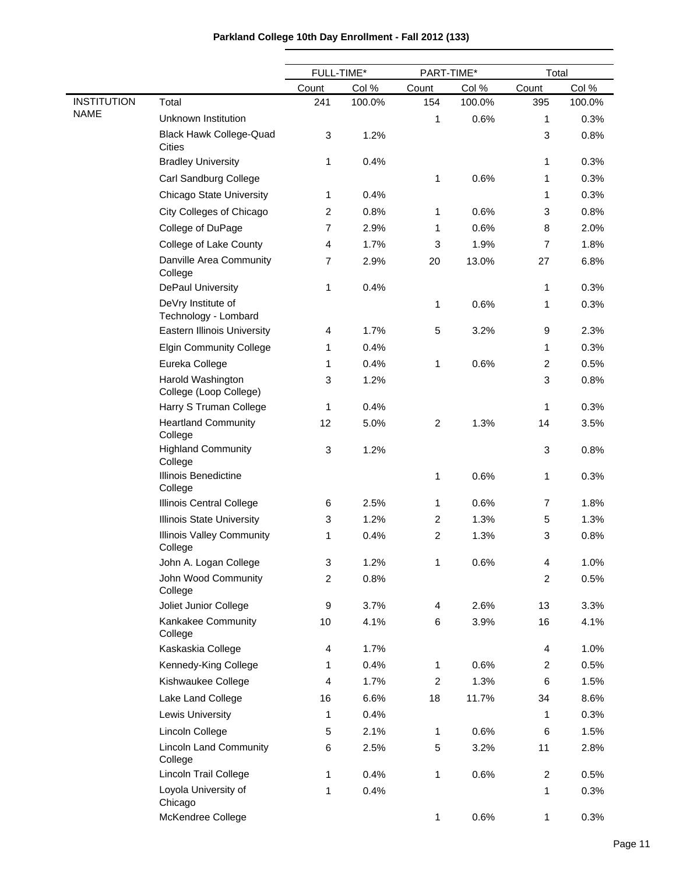|                    |                                                 | FULL-TIME*     |        | PART-TIME*     |        | Total          |        |
|--------------------|-------------------------------------------------|----------------|--------|----------------|--------|----------------|--------|
|                    |                                                 | Count          | Col %  | Count          | Col %  | Count          | Col %  |
| <b>INSTITUTION</b> | Total                                           | 241            | 100.0% | 154            | 100.0% | 395            | 100.0% |
| <b>NAME</b>        | Unknown Institution                             |                |        | 1              | 0.6%   | 1              | 0.3%   |
|                    | <b>Black Hawk College-Quad</b><br><b>Cities</b> | 3              | 1.2%   |                |        | 3              | 0.8%   |
|                    | <b>Bradley University</b>                       | 1              | 0.4%   |                |        | 1              | 0.3%   |
|                    | Carl Sandburg College                           |                |        | 1              | 0.6%   | 1              | 0.3%   |
|                    | <b>Chicago State University</b>                 | 1              | 0.4%   |                |        | 1              | 0.3%   |
|                    | City Colleges of Chicago                        | $\overline{c}$ | 0.8%   | 1              | 0.6%   | 3              | 0.8%   |
|                    | College of DuPage                               | $\overline{7}$ | 2.9%   | 1              | 0.6%   | 8              | 2.0%   |
|                    | College of Lake County                          | 4              | 1.7%   | 3              | 1.9%   | 7              | 1.8%   |
|                    | Danville Area Community<br>College              | $\overline{7}$ | 2.9%   | 20             | 13.0%  | 27             | 6.8%   |
|                    | DePaul University                               | 1              | 0.4%   |                |        | 1              | 0.3%   |
|                    | DeVry Institute of<br>Technology - Lombard      |                |        | 1              | 0.6%   | 1              | 0.3%   |
|                    | <b>Eastern Illinois University</b>              | 4              | 1.7%   | 5              | 3.2%   | 9              | 2.3%   |
|                    | <b>Elgin Community College</b>                  | 1              | 0.4%   |                |        | 1              | 0.3%   |
|                    | Eureka College                                  | 1              | 0.4%   | 1              | 0.6%   | $\overline{c}$ | 0.5%   |
|                    | Harold Washington<br>College (Loop College)     | 3              | 1.2%   |                |        | 3              | 0.8%   |
|                    | Harry S Truman College                          | 1              | 0.4%   |                |        | 1              | 0.3%   |
|                    | <b>Heartland Community</b><br>College           | 12             | 5.0%   | 2              | 1.3%   | 14             | 3.5%   |
|                    | <b>Highland Community</b><br>College            | 3              | 1.2%   |                |        | 3              | 0.8%   |
|                    | Illinois Benedictine<br>College                 |                |        | 1              | 0.6%   | 1              | 0.3%   |
|                    | Illinois Central College                        | 6              | 2.5%   | 1              | 0.6%   | 7              | 1.8%   |
|                    | <b>Illinois State University</b>                | 3              | 1.2%   | 2              | 1.3%   | 5              | 1.3%   |
|                    | <b>Illinois Valley Community</b><br>College     | 1              | 0.4%   | $\overline{c}$ | 1.3%   | 3              | 0.8%   |
|                    | John A. Logan College                           | 3              | 1.2%   | 1              | 0.6%   | 4              | 1.0%   |
|                    | John Wood Community<br>College                  | $\overline{c}$ | 0.8%   |                |        | $\overline{c}$ | 0.5%   |
|                    | Joliet Junior College                           | 9              | 3.7%   | $\overline{4}$ | 2.6%   | 13             | 3.3%   |
|                    | Kankakee Community<br>College                   | 10             | 4.1%   | 6              | 3.9%   | 16             | 4.1%   |
|                    | Kaskaskia College                               | 4              | 1.7%   |                |        | 4              | 1.0%   |
|                    | Kennedy-King College                            | 1              | 0.4%   | 1              | 0.6%   | $\overline{c}$ | 0.5%   |
|                    | Kishwaukee College                              | 4              | 1.7%   | $\overline{c}$ | 1.3%   | 6              | 1.5%   |
|                    | Lake Land College                               | 16             | 6.6%   | 18             | 11.7%  | 34             | 8.6%   |
|                    | <b>Lewis University</b>                         | 1              | 0.4%   |                |        | 1              | 0.3%   |
|                    | Lincoln College                                 | 5              | 2.1%   | 1              | 0.6%   | 6              | 1.5%   |
|                    | <b>Lincoln Land Community</b><br>College        | 6              | 2.5%   | 5              | 3.2%   | 11             | 2.8%   |
|                    | Lincoln Trail College                           | 1              | 0.4%   | 1              | 0.6%   | $\overline{c}$ | 0.5%   |
|                    | Loyola University of<br>Chicago                 | 1              | 0.4%   |                |        | 1              | 0.3%   |
|                    | McKendree College                               |                |        | 1              | 0.6%   | 1              | 0.3%   |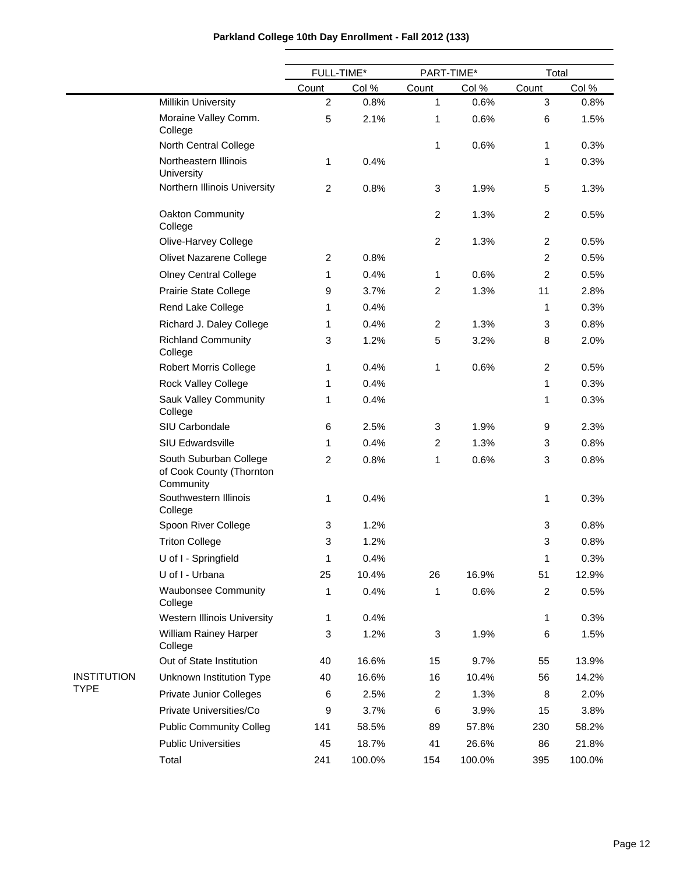| Parkland College 10th Day Enrollment - Fall 2012 (133) |  |  |  |  |  |
|--------------------------------------------------------|--|--|--|--|--|
|--------------------------------------------------------|--|--|--|--|--|

|                    |                                                                 | FULL-TIME*     |        | PART-TIME*     |        | Total          |        |
|--------------------|-----------------------------------------------------------------|----------------|--------|----------------|--------|----------------|--------|
|                    |                                                                 | Count          | Col %  | Count          | Col %  | Count          | Col %  |
|                    | <b>Millikin University</b>                                      | $\overline{2}$ | 0.8%   | 1              | 0.6%   | 3              | 0.8%   |
|                    | Moraine Valley Comm.<br>College                                 | 5              | 2.1%   | 1              | 0.6%   | 6              | 1.5%   |
|                    | North Central College                                           |                |        | 1              | 0.6%   | 1              | 0.3%   |
|                    | Northeastern Illinois<br>University                             | 1              | 0.4%   |                |        | 1              | 0.3%   |
|                    | Northern Illinois University                                    | $\overline{c}$ | 0.8%   | 3              | 1.9%   | 5              | 1.3%   |
|                    | Oakton Community<br>College                                     |                |        | $\overline{c}$ | 1.3%   | $\overline{c}$ | 0.5%   |
|                    | Olive-Harvey College                                            |                |        | $\overline{c}$ | 1.3%   | $\overline{c}$ | 0.5%   |
|                    | Olivet Nazarene College                                         | $\overline{c}$ | 0.8%   |                |        | $\overline{c}$ | 0.5%   |
|                    | <b>Olney Central College</b>                                    | 1              | 0.4%   | 1              | 0.6%   | $\overline{2}$ | 0.5%   |
|                    | Prairie State College                                           | 9              | 3.7%   | $\overline{c}$ | 1.3%   | 11             | 2.8%   |
|                    | Rend Lake College                                               | 1              | 0.4%   |                |        | 1              | 0.3%   |
|                    | Richard J. Daley College                                        | 1              | 0.4%   | $\overline{c}$ | 1.3%   | 3              | 0.8%   |
|                    | <b>Richland Community</b><br>College                            | 3              | 1.2%   | 5              | 3.2%   | 8              | 2.0%   |
|                    | <b>Robert Morris College</b>                                    | 1              | 0.4%   | 1              | 0.6%   | $\overline{c}$ | 0.5%   |
|                    | Rock Valley College                                             | 1              | 0.4%   |                |        | 1              | 0.3%   |
|                    | Sauk Valley Community<br>College                                | 1              | 0.4%   |                |        | 1              | 0.3%   |
|                    | SIU Carbondale                                                  | 6              | 2.5%   | 3              | 1.9%   | 9              | 2.3%   |
|                    | SIU Edwardsville                                                | 1              | 0.4%   | 2              | 1.3%   | 3              | 0.8%   |
|                    | South Suburban College<br>of Cook County (Thornton<br>Community | $\overline{c}$ | 0.8%   | 1              | 0.6%   | 3              | 0.8%   |
|                    | Southwestern Illinois<br>College                                | 1              | 0.4%   |                |        | 1              | 0.3%   |
|                    | Spoon River College                                             | 3              | 1.2%   |                |        | 3              | 0.8%   |
|                    | <b>Triton College</b>                                           | 3              | 1.2%   |                |        | 3              | 0.8%   |
|                    | U of I - Springfield                                            | 1              | 0.4%   |                |        | 1              | 0.3%   |
|                    | U of I - Urbana                                                 | 25             | 10.4%  | 26             | 16.9%  | 51             | 12.9%  |
|                    | <b>Waubonsee Community</b><br>College                           | 1              | 0.4%   | 1              | 0.6%   | $\overline{c}$ | 0.5%   |
|                    | Western Illinois University                                     | 1              | 0.4%   |                |        | 1              | 0.3%   |
|                    | William Rainey Harper<br>College                                | 3              | 1.2%   | 3              | 1.9%   | 6              | 1.5%   |
|                    | Out of State Institution                                        | 40             | 16.6%  | 15             | 9.7%   | 55             | 13.9%  |
| <b>INSTITUTION</b> | Unknown Institution Type                                        | 40             | 16.6%  | 16             | 10.4%  | 56             | 14.2%  |
| <b>TYPE</b>        | <b>Private Junior Colleges</b>                                  | 6              | 2.5%   | $\overline{c}$ | 1.3%   | 8              | 2.0%   |
|                    | Private Universities/Co                                         | 9              | 3.7%   | 6              | 3.9%   | 15             | 3.8%   |
|                    | <b>Public Community Colleg</b>                                  | 141            | 58.5%  | 89             | 57.8%  | 230            | 58.2%  |
|                    | <b>Public Universities</b>                                      | 45             | 18.7%  | 41             | 26.6%  | 86             | 21.8%  |
|                    | Total                                                           | 241            | 100.0% | 154            | 100.0% | 395            | 100.0% |